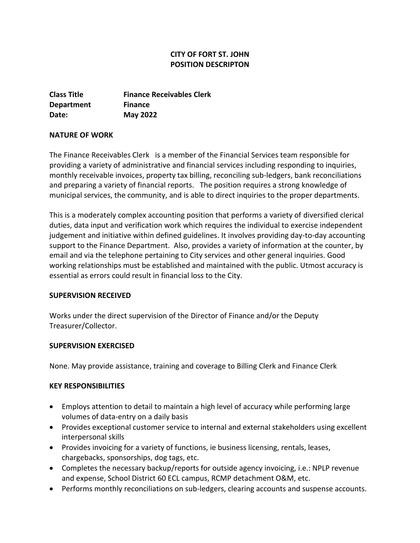# **CITY OF FORT ST. JOHN POSITION DESCRIPTON**

**Class Title Finance Receivables Clerk Department Finance Date: May 2022**

### **NATURE OF WORK**

The Finance Receivables Clerk is a member of the Financial Services team responsible for providing a variety of administrative and financial services including responding to inquiries, monthly receivable invoices, property tax billing, reconciling sub-ledgers, bank reconciliations and preparing a variety of financial reports. The position requires a strong knowledge of municipal services, the community, and is able to direct inquiries to the proper departments.

This is a moderately complex accounting position that performs a variety of diversified clerical duties, data input and verification work which requires the individual to exercise independent judgement and initiative within defined guidelines. It involves providing day-to-day accounting support to the Finance Department. Also, provides a variety of information at the counter, by email and via the telephone pertaining to City services and other general inquiries. Good working relationships must be established and maintained with the public. Utmost accuracy is essential as errors could result in financial loss to the City.

### **SUPERVISION RECEIVED**

Works under the direct supervision of the Director of Finance and/or the Deputy Treasurer/Collector.

## **SUPERVISION EXERCISED**

None. May provide assistance, training and coverage to Billing Clerk and Finance Clerk

## **KEY RESPONSIBILITIES**

- Employs attention to detail to maintain a high level of accuracy while performing large volumes of data-entry on a daily basis
- Provides exceptional customer service to internal and external stakeholders using excellent interpersonal skills
- Provides invoicing for a variety of functions, ie business licensing, rentals, leases, chargebacks, sponsorships, dog tags, etc.
- Completes the necessary backup/reports for outside agency invoicing, i.e.: NPLP revenue and expense, School District 60 ECL campus, RCMP detachment O&M, etc.
- Performs monthly reconciliations on sub-ledgers, clearing accounts and suspense accounts.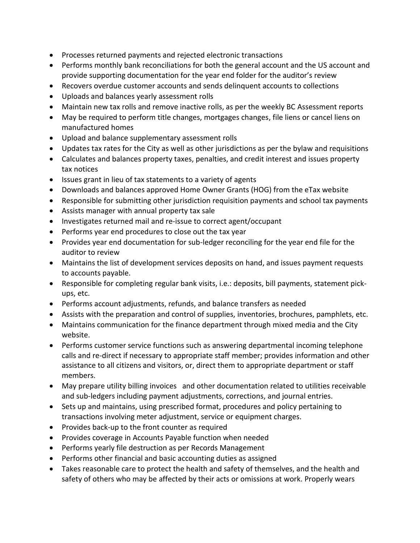- Processes returned payments and rejected electronic transactions
- Performs monthly bank reconciliations for both the general account and the US account and provide supporting documentation for the year end folder for the auditor's review
- Recovers overdue customer accounts and sends delinquent accounts to collections
- Uploads and balances yearly assessment rolls
- Maintain new tax rolls and remove inactive rolls, as per the weekly BC Assessment reports
- May be required to perform title changes, mortgages changes, file liens or cancel liens on manufactured homes
- Upload and balance supplementary assessment rolls
- Updates tax rates for the City as well as other jurisdictions as per the bylaw and requisitions
- Calculates and balances property taxes, penalties, and credit interest and issues property tax notices
- Issues grant in lieu of tax statements to a variety of agents
- Downloads and balances approved Home Owner Grants (HOG) from the eTax website
- Responsible for submitting other jurisdiction requisition payments and school tax payments
- Assists manager with annual property tax sale
- Investigates returned mail and re-issue to correct agent/occupant
- Performs year end procedures to close out the tax year
- Provides year end documentation for sub-ledger reconciling for the year end file for the auditor to review
- Maintains the list of development services deposits on hand, and issues payment requests to accounts payable.
- Responsible for completing regular bank visits, i.e.: deposits, bill payments, statement pickups, etc.
- Performs account adjustments, refunds, and balance transfers as needed
- Assists with the preparation and control of supplies, inventories, brochures, pamphlets, etc.
- Maintains communication for the finance department through mixed media and the City website.
- Performs customer service functions such as answering departmental incoming telephone calls and re-direct if necessary to appropriate staff member; provides information and other assistance to all citizens and visitors, or, direct them to appropriate department or staff members.
- May prepare utility billing invoices and other documentation related to utilities receivable and sub-ledgers including payment adjustments, corrections, and journal entries.
- Sets up and maintains, using prescribed format, procedures and policy pertaining to transactions involving meter adjustment, service or equipment charges.
- Provides back-up to the front counter as required
- Provides coverage in Accounts Payable function when needed
- Performs yearly file destruction as per Records Management
- Performs other financial and basic accounting duties as assigned
- Takes reasonable care to protect the health and safety of themselves, and the health and safety of others who may be affected by their acts or omissions at work. Properly wears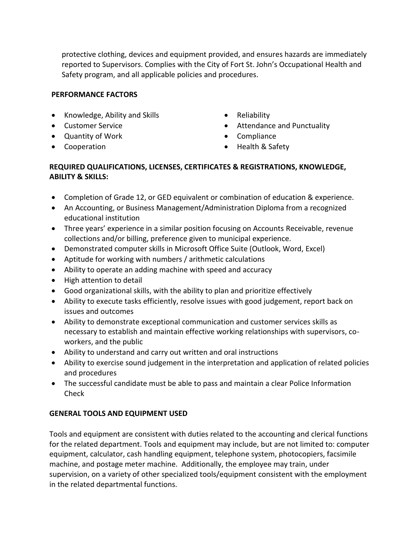protective clothing, devices and equipment provided, and ensures hazards are immediately reported to Supervisors. Complies with the City of Fort St. John's Occupational Health and Safety program, and all applicable policies and procedures.

### **PERFORMANCE FACTORS**

- Knowledge, Ability and Skills
- Customer Service
- Quantity of Work
- Cooperation
- Reliability
- Attendance and Punctuality
- Compliance
- Health & Safety

### **REQUIRED QUALIFICATIONS, LICENSES, CERTIFICATES & REGISTRATIONS, KNOWLEDGE, ABILITY & SKILLS:**

- Completion of Grade 12, or GED equivalent or combination of education & experience.
- An Accounting, or Business Management/Administration Diploma from a recognized educational institution
- Three years' experience in a similar position focusing on Accounts Receivable, revenue collections and/or billing, preference given to municipal experience.
- Demonstrated computer skills in Microsoft Office Suite (Outlook, Word, Excel)
- Aptitude for working with numbers / arithmetic calculations
- Ability to operate an adding machine with speed and accuracy
- High attention to detail
- Good organizational skills, with the ability to plan and prioritize effectively
- Ability to execute tasks efficiently, resolve issues with good judgement, report back on issues and outcomes
- Ability to demonstrate exceptional communication and customer services skills as necessary to establish and maintain effective working relationships with supervisors, coworkers, and the public
- Ability to understand and carry out written and oral instructions
- Ability to exercise sound judgement in the interpretation and application of related policies and procedures
- The successful candidate must be able to pass and maintain a clear Police Information Check

# **GENERAL TOOLS AND EQUIPMENT USED**

Tools and equipment are consistent with duties related to the accounting and clerical functions for the related department. Tools and equipment may include, but are not limited to: computer equipment, calculator, cash handling equipment, telephone system, photocopiers, facsimile machine, and postage meter machine. Additionally, the employee may train, under supervision, on a variety of other specialized tools/equipment consistent with the employment in the related departmental functions.